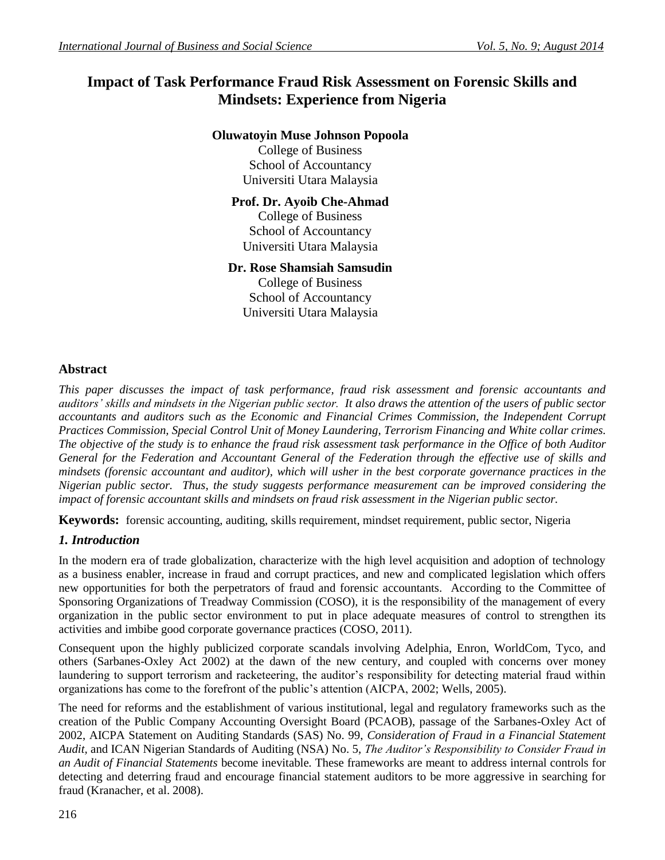# **Impact of Task Performance Fraud Risk Assessment on Forensic Skills and Mindsets: Experience from Nigeria**

# **Oluwatoyin Muse Johnson Popoola**

College of Business School of Accountancy Universiti Utara Malaysia

# **Prof. Dr. Ayoib Che-Ahmad**

College of Business School of Accountancy Universiti Utara Malaysia

## **Dr. Rose Shamsiah Samsudin**

College of Business School of Accountancy Universiti Utara Malaysia

## **Abstract**

*This paper discusses the impact of task performance, fraud risk assessment and forensic accountants and auditors' skills and mindsets in the Nigerian public sector. It also draws the attention of the users of public sector accountants and auditors such as the Economic and Financial Crimes Commission, the Independent Corrupt Practices Commission, Special Control Unit of Money Laundering, Terrorism Financing and White collar crimes. The objective of the study is to enhance the fraud risk assessment task performance in the Office of both Auditor General for the Federation and Accountant General of the Federation through the effective use of skills and mindsets (forensic accountant and auditor), which will usher in the best corporate governance practices in the Nigerian public sector. Thus, the study suggests performance measurement can be improved considering the impact of forensic accountant skills and mindsets on fraud risk assessment in the Nigerian public sector.*

**Keywords:** forensic accounting, auditing, skills requirement, mindset requirement, public sector, Nigeria

## *1. Introduction*

In the modern era of trade globalization, characterize with the high level acquisition and adoption of technology as a business enabler, increase in fraud and corrupt practices, and new and complicated legislation which offers new opportunities for both the perpetrators of fraud and forensic accountants. According to the Committee of Sponsoring Organizations of Treadway Commission (COSO), it is the responsibility of the management of every organization in the public sector environment to put in place adequate measures of control to strengthen its activities and imbibe good corporate governance practices (COSO, 2011).

Consequent upon the highly publicized corporate scandals involving Adelphia, Enron, WorldCom, Tyco, and others (Sarbanes-Oxley Act 2002) at the dawn of the new century, and coupled with concerns over money laundering to support terrorism and racketeering, the auditor's responsibility for detecting material fraud within organizations has come to the forefront of the public's attention (AICPA, 2002; Wells, 2005).

The need for reforms and the establishment of various institutional, legal and regulatory frameworks such as the creation of the Public Company Accounting Oversight Board (PCAOB), passage of the Sarbanes-Oxley Act of 2002, AICPA Statement on Auditing Standards (SAS) No. 99, *Consideration of Fraud in a Financial Statement Audit,* and ICAN Nigerian Standards of Auditing (NSA) No. 5, *The Auditor's Responsibility to Consider Fraud in an Audit of Financial Statements* become inevitable*.* These frameworks are meant to address internal controls for detecting and deterring fraud and encourage financial statement auditors to be more aggressive in searching for fraud (Kranacher, et al. 2008).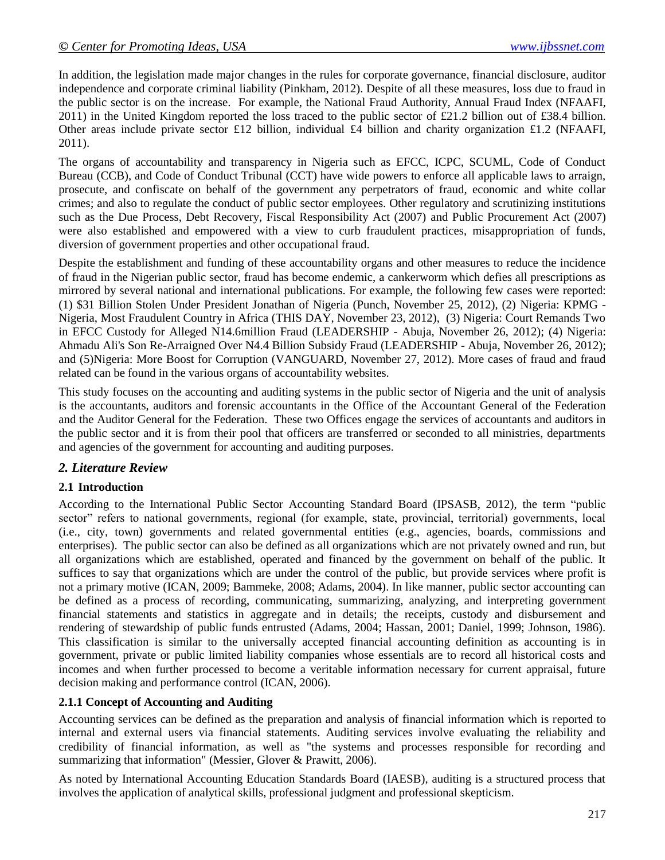In addition, the legislation made major changes in the rules for corporate governance, financial disclosure, auditor independence and corporate criminal liability (Pinkham, 2012). Despite of all these measures, loss due to fraud in the public sector is on the increase. For example, the National Fraud Authority, Annual Fraud Index (NFAAFI, 2011) in the United Kingdom reported the loss traced to the public sector of £21.2 billion out of £38.4 billion. Other areas include private sector £12 billion, individual £4 billion and charity organization £1.2 (NFAAFI, 2011).

The organs of accountability and transparency in Nigeria such as EFCC, ICPC, SCUML, Code of Conduct Bureau (CCB), and Code of Conduct Tribunal (CCT) have wide powers to enforce all applicable laws to arraign, prosecute, and confiscate on behalf of the government any perpetrators of fraud, economic and white collar crimes; and also to regulate the conduct of public sector employees. Other regulatory and scrutinizing institutions such as the Due Process, Debt Recovery, Fiscal Responsibility Act (2007) and Public Procurement Act (2007) were also established and empowered with a view to curb fraudulent practices, misappropriation of funds, diversion of government properties and other occupational fraud.

Despite the establishment and funding of these accountability organs and other measures to reduce the incidence of fraud in the Nigerian public sector, fraud has become endemic, a cankerworm which defies all prescriptions as mirrored by several national and international publications. For example, the following few cases were reported: (1) \$31 Billion Stolen Under President Jonathan of Nigeria (Punch, November 25, 2012), (2) Nigeria: KPMG - Nigeria, Most Fraudulent Country in Africa (THIS DAY, November 23, 2012), (3) Nigeria: Court Remands Two in EFCC Custody for Alleged N14.6million Fraud [\(LEADERSHIP](http://www.leadership.ng/) - Abuja, November 26, 2012); (4) Nigeria: Ahmadu Ali's Son Re-Arraigned Over N4.4 Billion Subsidy Fraud (LEADERSHIP - Abuja, November 26, 2012); and (5)Nigeria: More Boost for Corruption (VANGUARD, November 27, 2012). More cases of fraud and fraud related can be found in the various organs of accountability websites.

This study focuses on the accounting and auditing systems in the public sector of Nigeria and the unit of analysis is the accountants, auditors and forensic accountants in the Office of the Accountant General of the Federation and the Auditor General for the Federation. These two Offices engage the services of accountants and auditors in the public sector and it is from their pool that officers are transferred or seconded to all ministries, departments and agencies of the government for accounting and auditing purposes.

## *2. Literature Review*

## **2.1 Introduction**

According to the International Public Sector Accounting Standard Board (IPSASB, 2012), the term "public sector" refers to national governments, regional (for example, state, provincial, territorial) governments, local (i.e., city, town) governments and related governmental entities (e.g., agencies, boards, commissions and enterprises). The public sector can also be defined as all organizations which are not privately owned and run, but all organizations which are established, operated and financed by the government on behalf of the public. It suffices to say that organizations which are under the control of the public, but provide services where profit is not a primary motive (ICAN, 2009; Bammeke, 2008; Adams, 2004). In like manner, public sector accounting can be defined as a process of recording, communicating, summarizing, analyzing, and interpreting government financial statements and statistics in aggregate and in details; the receipts, custody and disbursement and rendering of stewardship of public funds entrusted (Adams, 2004; Hassan, 2001; Daniel, 1999; Johnson, 1986). This classification is similar to the universally accepted financial accounting definition as accounting is in government, private or public limited liability companies whose essentials are to record all historical costs and incomes and when further processed to become a veritable information necessary for current appraisal, future decision making and performance control (ICAN, 2006).

## **2.1.1 Concept of Accounting and Auditing**

Accounting services can be defined as the preparation and analysis of financial information which is reported to internal and external users via financial statements. Auditing services involve evaluating the reliability and credibility of financial information, as well as "the systems and processes responsible for recording and summarizing that information" (Messier, Glover & Prawitt, 2006).

As noted by International Accounting Education Standards Board (IAESB), auditing is a structured process that involves the application of analytical skills, professional judgment and professional skepticism.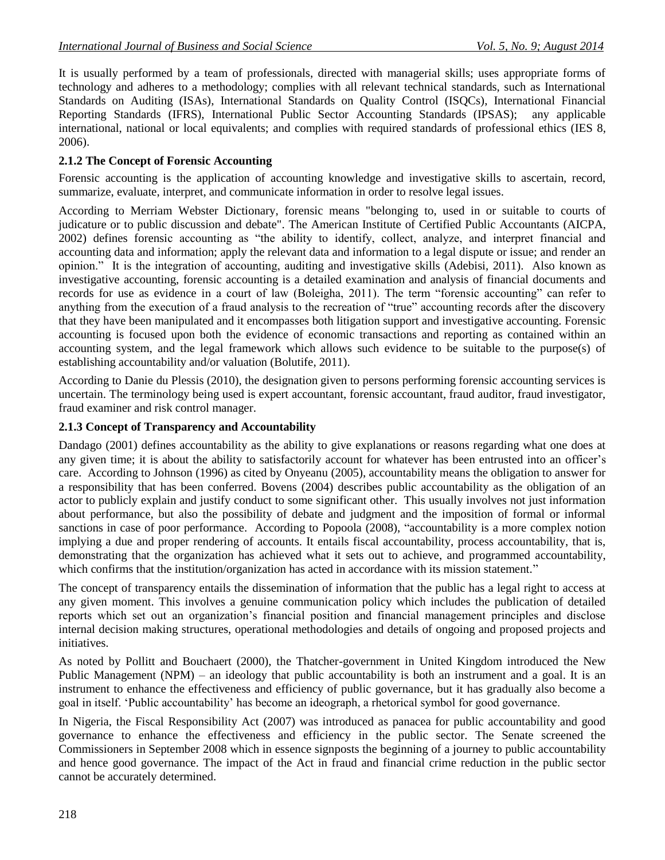It is usually performed by a team of professionals, directed with managerial skills; uses appropriate forms of technology and adheres to a methodology; complies with all relevant technical standards, such as International Standards on Auditing (ISAs), International Standards on Quality Control (ISQCs), International Financial Reporting Standards (IFRS), International Public Sector Accounting Standards (IPSAS); any applicable international, national or local equivalents; and complies with required standards of professional ethics (IES 8, 2006).

## **2.1.2 The Concept of Forensic Accounting**

Forensic accounting is the application of accounting knowledge and investigative skills to ascertain, record, summarize, evaluate, interpret, and communicate information in order to resolve legal issues.

According to Merriam [Webster Dictionary,](http://www.m-w.com/) forensic means "belonging to, used in or suitable to courts of judicature or to public discussion and debate". The [American Institute of Certified Public Accountants](http://www.aicpa.org/) (AICPA, 2002) defines forensic accounting as "the ability to identify, collect, analyze, and interpret financial and accounting data and information; apply the relevant data and information to a legal dispute or issue; and render an opinion." It is the integration of accounting, auditing and investigative skills (Adebisi, 2011). Also known as investigative accounting, [forensic accounting](http://www.sagefa.com/services_fa.html) is a detailed examination and analysis of financial documents and records for use as evidence in a court of law (Boleigha, 2011). The term "forensic accounting" can refer to anything from the execution of a fraud analysis to the recreation of "true" accounting records after the discovery that they have been manipulated and it encompasses both litigation support and investigative accounting. Forensic accounting is focused upon both [the evidence](http://www.rtedwards.com/journals/JFA/evidentiary.html) of economic transactions and reporting as contained within an accounting system, and the legal framework which allows such evidence to be suitable to the purpose(s) of establishing accountability and/or valuation (Bolutife, 2011).

According to Danie du Plessis (2010), the designation given to persons performing forensic accounting services is uncertain. The terminology being used is expert accountant, forensic accountant, fraud auditor, fraud investigator, fraud examiner and risk control manager.

#### **2.1.3 Concept of Transparency and Accountability**

Dandago (2001) defines accountability as the ability to give explanations or reasons regarding what one does at any given time; it is about the ability to satisfactorily account for whatever has been entrusted into an officer's care. According to Johnson (1996) as cited by Onyeanu (2005), accountability means the obligation to answer for a responsibility that has been conferred. Bovens (2004) describes public accountability as the obligation of an actor to publicly explain and justify conduct to some significant other. This usually involves not just information about performance, but also the possibility of debate and judgment and the imposition of formal or informal sanctions in case of poor performance. According to Popoola (2008), "accountability is a more complex notion implying a due and proper rendering of accounts. It entails fiscal accountability, process accountability, that is, demonstrating that the organization has achieved what it sets out to achieve, and programmed accountability, which confirms that the institution/organization has acted in accordance with its mission statement."

The concept of transparency entails the dissemination of information that the public has a legal right to access at any given moment. This involves a genuine communication policy which includes the publication of detailed reports which set out an organization's financial position and financial management principles and disclose internal decision making structures, operational methodologies and details of ongoing and proposed projects and initiatives.

As noted by Pollitt and Bouchaert (2000), the Thatcher-government in United Kingdom introduced the New Public Management (NPM) – an ideology that public accountability is both an instrument and a goal. It is an instrument to enhance the effectiveness and efficiency of public governance, but it has gradually also become a goal in itself. 'Public accountability' has become an ideograph, a rhetorical symbol for good governance.

In Nigeria, the Fiscal Responsibility Act (2007) was introduced as panacea for public accountability and good governance to enhance the effectiveness and efficiency in the public sector. The Senate screened the Commissioners in September 2008 which in essence signposts the beginning of a journey to public accountability and hence good governance. The impact of the Act in fraud and financial crime reduction in the public sector cannot be accurately determined.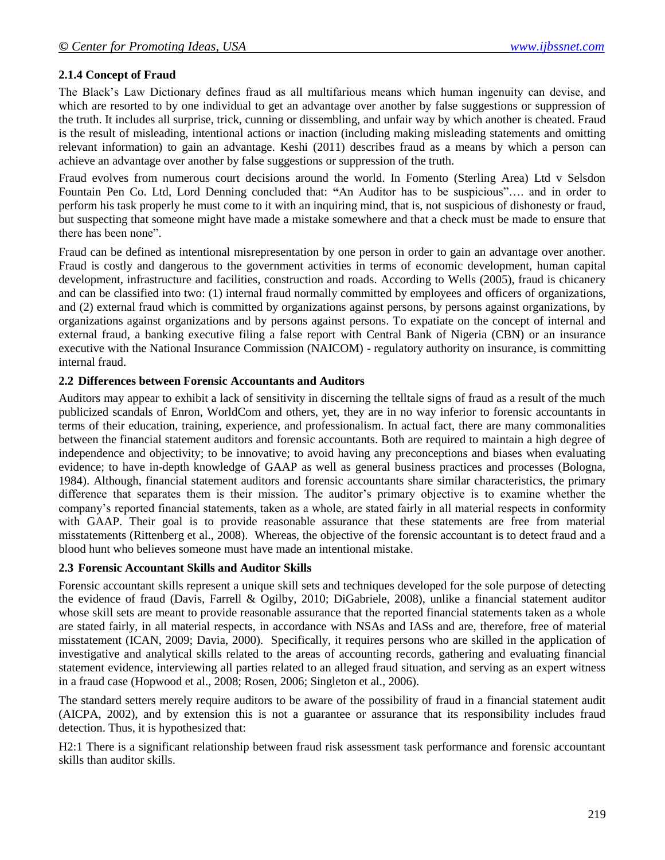#### **2.1.4 Concept of Fraud**

The Black's Law Dictionary defines fraud as all multifarious means which human ingenuity can devise, and which are resorted to by one individual to get an advantage over another by false suggestions or suppression of the truth. It includes all surprise, trick, cunning or dissembling, and unfair way by which another is cheated. Fraud is the result of misleading, intentional actions or inaction (including making misleading statements and omitting relevant information) to gain an advantage. Keshi (2011) describes fraud as a means by which a person can achieve an advantage over another by false suggestions or suppression of the truth.

Fraud evolves from numerous court decisions around the world. In Fomento (Sterling Area) Ltd v Selsdon Fountain Pen Co. Ltd, Lord Denning concluded that: **"**An Auditor has to be suspicious"…. and in order to perform his task properly he must come to it with an inquiring mind, that is, not suspicious of dishonesty or fraud, but suspecting that someone might have made a mistake somewhere and that a check must be made to ensure that there has been none".

Fraud can be defined as intentional misrepresentation by one person in order to gain an advantage over another. Fraud is costly and dangerous to the government activities in terms of economic development, human capital development, infrastructure and facilities, construction and roads. According to Wells (2005), fraud is chicanery and can be classified into two: (1) internal fraud normally committed by employees and officers of organizations, and (2) external fraud which is committed by organizations against persons, by persons against organizations, by organizations against organizations and by persons against persons. To expatiate on the concept of internal and external fraud, a banking executive filing a false report with Central Bank of Nigeria (CBN) or an insurance executive with the National Insurance Commission (NAICOM) - regulatory authority on insurance, is committing internal fraud.

#### **2.2 Differences between Forensic Accountants and Auditors**

Auditors may appear to exhibit a lack of sensitivity in discerning the telltale signs of fraud as a result of the much publicized scandals of Enron, WorldCom and others, yet, they are in no way inferior to forensic accountants in terms of their education, training, experience, and professionalism. In actual fact, there are many commonalities between the financial statement auditors and forensic accountants. Both are required to maintain a high degree of independence and objectivity; to be innovative; to avoid having any preconceptions and biases when evaluating evidence; to have in-depth knowledge of GAAP as well as general business practices and processes (Bologna, 1984). Although, financial statement auditors and forensic accountants share similar characteristics, the primary difference that separates them is their mission. The auditor's primary objective is to examine whether the company's reported financial statements, taken as a whole, are stated fairly in all material respects in conformity with GAAP. Their goal is to provide reasonable assurance that these statements are free from material misstatements (Rittenberg et al., 2008). Whereas, the objective of the forensic accountant is to detect fraud and a blood hunt who believes someone must have made an intentional mistake.

#### **2.3 Forensic Accountant Skills and Auditor Skills**

Forensic accountant skills represent a unique skill sets and techniques developed for the sole purpose of detecting the evidence of fraud (Davis, Farrell & Ogilby, 2010; DiGabriele, 2008), unlike a financial statement auditor whose skill sets are meant to provide reasonable assurance that the reported financial statements taken as a whole are stated fairly, in all material respects, in accordance with NSAs and IASs and are, therefore, free of material misstatement (ICAN, 2009; Davia, 2000). Specifically, it requires persons who are skilled in the application of investigative and analytical skills related to the areas of accounting records, gathering and evaluating financial statement evidence, interviewing all parties related to an alleged fraud situation, and serving as an expert witness in a fraud case (Hopwood et al., 2008; Rosen, 2006; Singleton et al., 2006).

The standard setters merely require auditors to be aware of the possibility of fraud in a financial statement audit (AICPA, 2002), and by extension this is not a guarantee or assurance that its responsibility includes fraud detection. Thus, it is hypothesized that:

H2:1 There is a significant relationship between fraud risk assessment task performance and forensic accountant skills than auditor skills.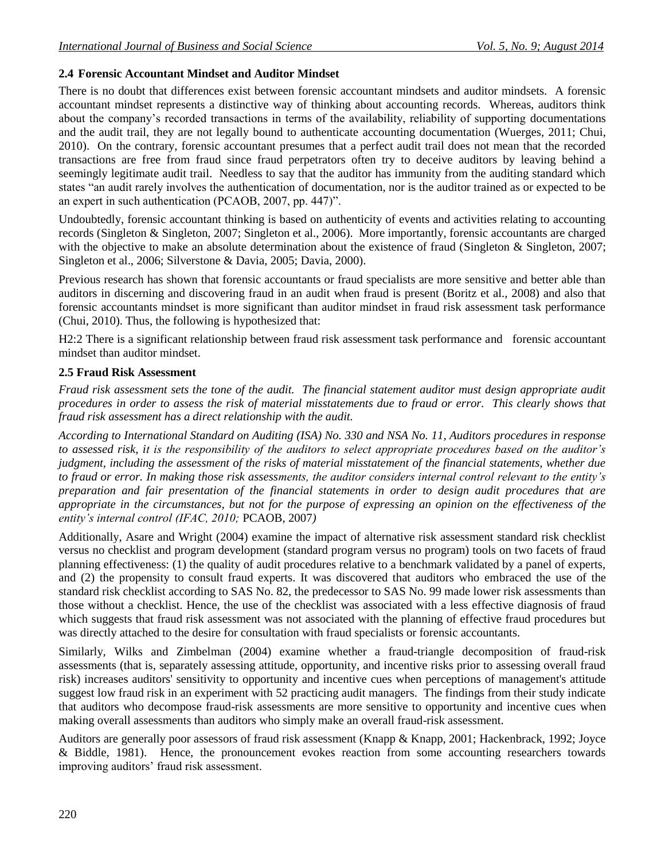## **2.4 Forensic Accountant Mindset and Auditor Mindset**

There is no doubt that differences exist between forensic accountant mindsets and auditor mindsets. A forensic accountant mindset represents a distinctive way of thinking about accounting records. Whereas, auditors think about the company's recorded transactions in terms of the availability, reliability of supporting documentations and the audit trail, they are not legally bound to authenticate accounting documentation (Wuerges, 2011; Chui, 2010). On the contrary, forensic accountant presumes that a perfect audit trail does not mean that the recorded transactions are free from fraud since fraud perpetrators often try to deceive auditors by leaving behind a seemingly legitimate audit trail. Needless to say that the auditor has immunity from the auditing standard which states "an audit rarely involves the authentication of documentation, nor is the auditor trained as or expected to be an expert in such authentication (PCAOB, 2007, pp. 447)".

Undoubtedly, forensic accountant thinking is based on authenticity of events and activities relating to accounting records (Singleton & Singleton, 2007; Singleton et al., 2006). More importantly, forensic accountants are charged with the objective to make an absolute determination about the existence of fraud (Singleton & Singleton, 2007; Singleton et al., 2006; Silverstone & Davia, 2005; Davia, 2000).

Previous research has shown that forensic accountants or fraud specialists are more sensitive and better able than auditors in discerning and discovering fraud in an audit when fraud is present (Boritz et al., 2008) and also that forensic accountants mindset is more significant than auditor mindset in fraud risk assessment task performance (Chui, 2010). Thus, the following is hypothesized that:

H2:2 There is a significant relationship between fraud risk assessment task performance and forensic accountant mindset than auditor mindset.

#### **2.5 Fraud Risk Assessment**

*Fraud risk assessment sets the tone of the audit. The financial statement auditor must design appropriate audit procedures in order to assess the risk of material misstatements due to fraud or error. This clearly shows that fraud risk assessment has a direct relationship with the audit.*

*According to International Standard on Auditing (ISA) No. 330 and NSA No. 11, Auditors procedures in response to assessed risk, it is the responsibility of the auditors to select appropriate procedures based on the auditor's judgment, including the assessment of the risks of material misstatement of the financial statements, whether due to fraud or error. In making those risk assessments, the auditor considers internal control relevant to the entity's preparation and fair presentation of the financial statements in order to design audit procedures that are appropriate in the circumstances, but not for the purpose of expressing an opinion on the effectiveness of the entity's internal control (IFAC, 2010;* PCAOB, 2007*)*

Additionally, Asare and Wright (2004) examine the impact of alternative risk assessment standard risk checklist versus no checklist and program development (standard program versus no program) tools on two facets of fraud planning effectiveness: (1) the quality of audit procedures relative to a benchmark validated by a panel of experts, and (2) the propensity to consult fraud experts. It was discovered that auditors who embraced the use of the standard risk checklist according to SAS No. 82, the predecessor to SAS No. 99 made lower risk assessments than those without a checklist. Hence, the use of the checklist was associated with a less effective diagnosis of fraud which suggests that fraud risk assessment was not associated with the planning of effective fraud procedures but was directly attached to the desire for consultation with fraud specialists or forensic accountants.

Similarly, Wilks and Zimbelman (2004) examine whether a fraud-triangle decomposition of fraud-risk assessments (that is, separately assessing attitude, opportunity, and incentive risks prior to assessing overall fraud risk) increases auditors' sensitivity to opportunity and incentive cues when perceptions of management's attitude suggest low fraud risk in an experiment with 52 practicing audit managers. The findings from their study indicate that auditors who decompose fraud-risk assessments are more sensitive to opportunity and incentive cues when making overall assessments than auditors who simply make an overall fraud-risk assessment.

Auditors are generally poor assessors of fraud risk assessment (Knapp & Knapp, 2001; Hackenbrack, 1992; Joyce & Biddle, 1981). Hence, the pronouncement evokes reaction from some accounting researchers towards improving auditors' fraud risk assessment.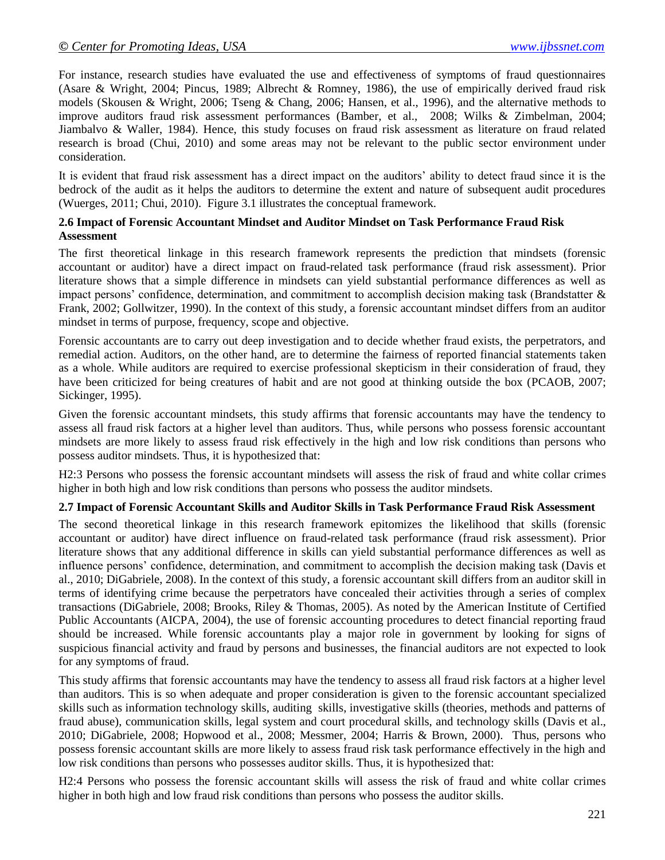For instance, research studies have evaluated the use and effectiveness of symptoms of fraud questionnaires (Asare & Wright, 2004; Pincus, 1989; Albrecht & Romney, 1986), the use of empirically derived fraud risk models (Skousen & Wright, 2006; Tseng & Chang, 2006; Hansen, et al., 1996), and the alternative methods to improve auditors fraud risk assessment performances (Bamber, et al., 2008; Wilks & Zimbelman, 2004; Jiambalvo & Waller, 1984). Hence, this study focuses on fraud risk assessment as literature on fraud related research is broad (Chui, 2010) and some areas may not be relevant to the public sector environment under consideration.

It is evident that fraud risk assessment has a direct impact on the auditors' ability to detect fraud since it is the bedrock of the audit as it helps the auditors to determine the extent and nature of subsequent audit procedures (Wuerges, 2011; Chui, 2010). Figure 3.1 illustrates the conceptual framework.

#### **2.6 Impact of Forensic Accountant Mindset and Auditor Mindset on Task Performance Fraud Risk Assessment**

The first theoretical linkage in this research framework represents the prediction that mindsets (forensic accountant or auditor) have a direct impact on fraud-related task performance (fraud risk assessment). Prior literature shows that a simple difference in mindsets can yield substantial performance differences as well as impact persons' confidence, determination, and commitment to accomplish decision making task (Brandstatter & Frank, 2002; Gollwitzer, 1990). In the context of this study, a forensic accountant mindset differs from an auditor mindset in terms of purpose, frequency, scope and objective.

Forensic accountants are to carry out deep investigation and to decide whether fraud exists, the perpetrators, and remedial action. Auditors, on the other hand, are to determine the fairness of reported financial statements taken as a whole. While auditors are required to exercise professional skepticism in their consideration of fraud, they have been criticized for being creatures of habit and are not good at thinking outside the box (PCAOB, 2007; Sickinger, 1995).

Given the forensic accountant mindsets, this study affirms that forensic accountants may have the tendency to assess all fraud risk factors at a higher level than auditors. Thus, while persons who possess forensic accountant mindsets are more likely to assess fraud risk effectively in the high and low risk conditions than persons who possess auditor mindsets. Thus, it is hypothesized that:

H2:3 Persons who possess the forensic accountant mindsets will assess the risk of fraud and white collar crimes higher in both high and low risk conditions than persons who possess the auditor mindsets.

#### **2.7 Impact of Forensic Accountant Skills and Auditor Skills in Task Performance Fraud Risk Assessment**

The second theoretical linkage in this research framework epitomizes the likelihood that skills (forensic accountant or auditor) have direct influence on fraud-related task performance (fraud risk assessment). Prior literature shows that any additional difference in skills can yield substantial performance differences as well as influence persons' confidence, determination, and commitment to accomplish the decision making task (Davis et al., 2010; DiGabriele, 2008). In the context of this study, a forensic accountant skill differs from an auditor skill in terms of identifying crime because the perpetrators have concealed their activities through a series of complex transactions (DiGabriele, 2008; Brooks, Riley & Thomas, 2005). As noted by the American Institute of Certified Public Accountants (AICPA, 2004), the use of forensic accounting procedures to detect financial reporting fraud should be increased. While forensic accountants play a major role in government by looking for signs of suspicious financial activity and fraud by persons and businesses, the financial auditors are not expected to look for any symptoms of fraud.

This study affirms that forensic accountants may have the tendency to assess all fraud risk factors at a higher level than auditors. This is so when adequate and proper consideration is given to the forensic accountant specialized skills such as information technology skills, auditing skills, investigative skills (theories, methods and patterns of fraud abuse), communication skills, legal system and court procedural skills, and technology skills (Davis et al., 2010; DiGabriele, 2008; Hopwood et al., 2008; Messmer, 2004; Harris & Brown, 2000). Thus, persons who possess forensic accountant skills are more likely to assess fraud risk task performance effectively in the high and low risk conditions than persons who possesses auditor skills. Thus, it is hypothesized that:

H2:4 Persons who possess the forensic accountant skills will assess the risk of fraud and white collar crimes higher in both high and low fraud risk conditions than persons who possess the auditor skills.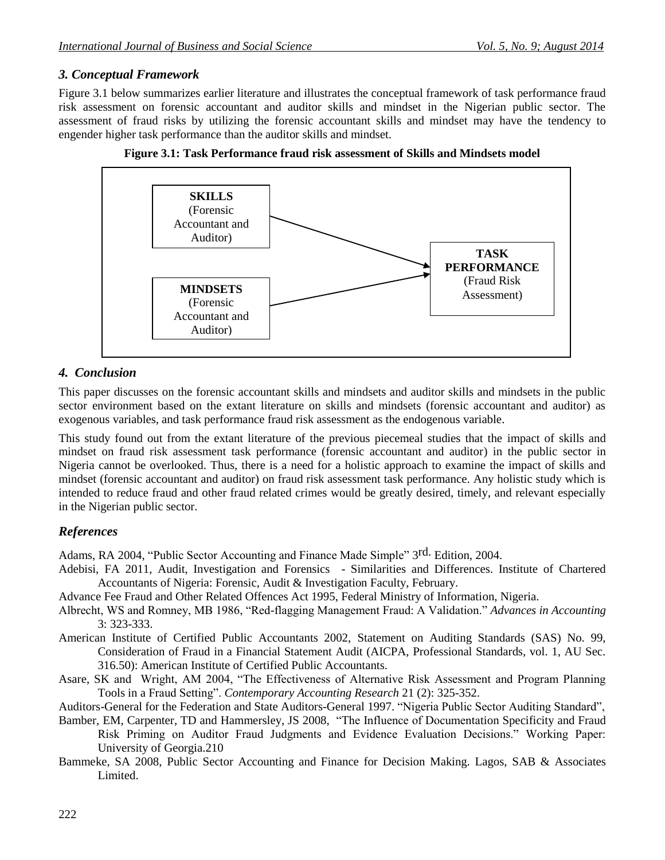#### *3. Conceptual Framework*

Figure 3.1 below summarizes earlier literature and illustrates the conceptual framework of task performance fraud risk assessment on forensic accountant and auditor skills and mindset in the Nigerian public sector. The assessment of fraud risks by utilizing the forensic accountant skills and mindset may have the tendency to engender higher task performance than the auditor skills and mindset.





## *4. Conclusion*

This paper discusses on the forensic accountant skills and mindsets and auditor skills and mindsets in the public sector environment based on the extant literature on skills and mindsets (forensic accountant and auditor) as exogenous variables, and task performance fraud risk assessment as the endogenous variable.

This study found out from the extant literature of the previous piecemeal studies that the impact of skills and mindset on fraud risk assessment task performance (forensic accountant and auditor) in the public sector in Nigeria cannot be overlooked. Thus, there is a need for a holistic approach to examine the impact of skills and mindset (forensic accountant and auditor) on fraud risk assessment task performance. Any holistic study which is intended to reduce fraud and other fraud related crimes would be greatly desired, timely, and relevant especially in the Nigerian public sector.

## *References*

Adams, RA 2004, "Public Sector Accounting and Finance Made Simple" 3<sup>rd.</sup> Edition, 2004.

Adebisi, FA 2011, Audit, Investigation and Forensics - Similarities and Differences. Institute of Chartered Accountants of Nigeria: Forensic, Audit & Investigation Faculty, February.

Advance Fee Fraud and Other Related Offences Act 1995, Federal Ministry of Information, Nigeria.

- Albrecht, WS and Romney, MB 1986, "Red-flagging Management Fraud: A Validation." *Advances in Accounting*  3: 323-333.
- American Institute of Certified Public Accountants 2002, Statement on Auditing Standards (SAS) No. 99, Consideration of Fraud in a Financial Statement Audit (AICPA, Professional Standards, vol. 1, AU Sec. 316.50): American Institute of Certified Public Accountants.
- Asare, SK and Wright, AM 2004, "The Effectiveness of Alternative Risk Assessment and Program Planning Tools in a Fraud Setting". *Contemporary Accounting Research* 21 (2): 325-352.

Auditors-General for the Federation and State Auditors-General 1997. "Nigeria Public Sector Auditing Standard",

- Bamber, EM, Carpenter, TD and Hammersley, JS 2008, "The Influence of Documentation Specificity and Fraud Risk Priming on Auditor Fraud Judgments and Evidence Evaluation Decisions." Working Paper: University of Georgia.210
- Bammeke, SA 2008, Public Sector Accounting and Finance for Decision Making. Lagos, SAB & Associates Limited.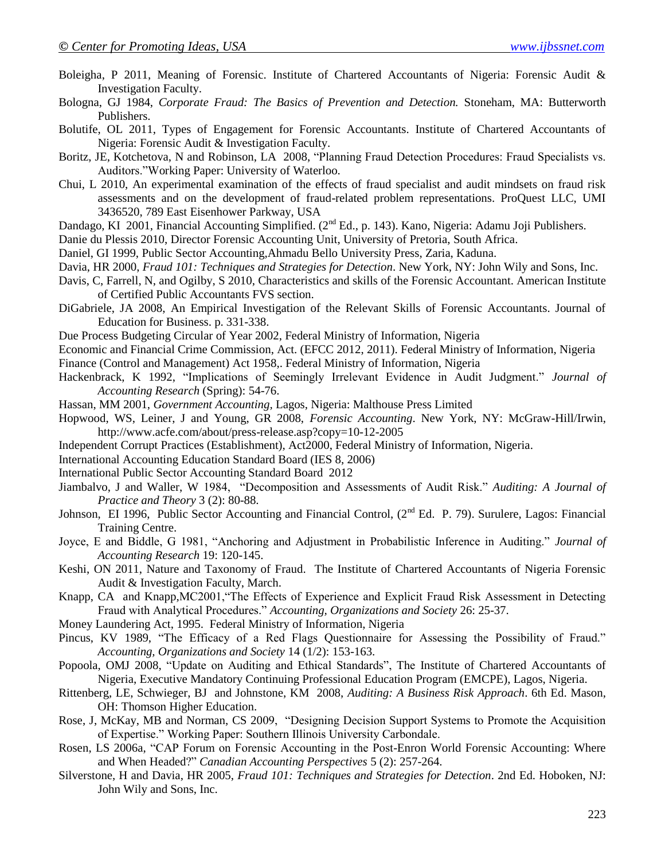- Boleigha, P 2011, Meaning of Forensic. Institute of Chartered Accountants of Nigeria: Forensic Audit & Investigation Faculty.
- Bologna, GJ 1984, *Corporate Fraud: The Basics of Prevention and Detection.* Stoneham, MA: Butterworth Publishers.
- Bolutife, OL 2011, Types of Engagement for Forensic Accountants. Institute of Chartered Accountants of Nigeria: Forensic Audit & Investigation Faculty.
- Boritz, JE, Kotchetova, N and Robinson, LA 2008, "Planning Fraud Detection Procedures: Fraud Specialists vs. Auditors."Working Paper: University of Waterloo.
- Chui, L 2010, An experimental examination of the effects of fraud specialist and audit mindsets on fraud risk assessments and on the development of fraud-related problem representations. ProQuest LLC, UMI 3436520, 789 East Eisenhower Parkway, USA
- Dandago, KI 2001, Financial Accounting Simplified. (2<sup>nd</sup> Ed., p. 143). Kano, Nigeria: Adamu Joji Publishers.

Danie du Plessis 2010, Director Forensic Accounting Unit, University of Pretoria, South Africa.

- Daniel, GI 1999, Public Sector Accounting,Ahmadu Bello University Press, Zaria, Kaduna.
- Davia, HR 2000, *Fraud 101: Techniques and Strategies for Detection*. New York, NY: John Wily and Sons, Inc.
- Davis, C, Farrell, N, and Ogilby, S 2010, Characteristics and skills of the Forensic Accountant. American Institute of Certified Public Accountants FVS section.
- DiGabriele, JA 2008, An Empirical Investigation of the Relevant Skills of Forensic Accountants. Journal of Education for Business. p. 331-338.
- Due Process Budgeting Circular of Year 2002, Federal Ministry of Information, Nigeria
- Economic and Financial Crime Commission, Act. (EFCC 2012, 2011). Federal Ministry of Information, Nigeria Finance (Control and Management) Act 1958,. Federal Ministry of Information, Nigeria
- Hackenbrack, K 1992, "Implications of Seemingly Irrelevant Evidence in Audit Judgment." *Journal of Accounting Research* (Spring): 54-76.
- Hassan, MM 2001, *Government Accounting,* Lagos, Nigeria: Malthouse Press Limited
- Hopwood, WS, Leiner, J and Young, GR 2008, *Forensic Accounting*. New York, NY: McGraw-Hill/Irwin, http://www.acfe.com/about/press-release.asp?copy=10-12-2005
- Independent Corrupt Practices (Establishment), Act2000, Federal Ministry of Information, Nigeria.
- International Accounting Education Standard Board (IES 8, 2006)
- International Public Sector Accounting Standard Board 2012
- Jiambalvo, J and Waller, W 1984, "Decomposition and Assessments of Audit Risk." *Auditing: A Journal of Practice and Theory* 3 (2): 80-88.
- Johnson, EI 1996, Public Sector Accounting and Financial Control, (2<sup>nd</sup> Ed. P. 79). Surulere, Lagos: Financial Training Centre.
- Joyce, E and Biddle, G 1981, "Anchoring and Adjustment in Probabilistic Inference in Auditing." *Journal of Accounting Research* 19: 120-145.
- Keshi, ON 2011, Nature and Taxonomy of Fraud. The Institute of Chartered Accountants of Nigeria Forensic Audit & Investigation Faculty, March.
- Knapp, CA and Knapp,MC2001,"The Effects of Experience and Explicit Fraud Risk Assessment in Detecting Fraud with Analytical Procedures." *Accounting, Organizations and Society* 26: 25-37.
- Money Laundering Act, 1995. Federal Ministry of Information, Nigeria
- Pincus, KV 1989, "The Efficacy of a Red Flags Questionnaire for Assessing the Possibility of Fraud." *Accounting, Organizations and Society* 14 (1/2): 153-163.
- Popoola, OMJ 2008, "Update on Auditing and Ethical Standards", The Institute of Chartered Accountants of Nigeria, Executive Mandatory Continuing Professional Education Program (EMCPE), Lagos, Nigeria.
- Rittenberg, LE, Schwieger, BJ and Johnstone, KM 2008, *Auditing: A Business Risk Approach*. 6th Ed. Mason, OH: Thomson Higher Education.
- Rose, J, McKay, MB and Norman, CS 2009, "Designing Decision Support Systems to Promote the Acquisition of Expertise." Working Paper: Southern Illinois University Carbondale.
- Rosen, LS 2006a, "CAP Forum on Forensic Accounting in the Post-Enron World Forensic Accounting: Where and When Headed?" *Canadian Accounting Perspectives* 5 (2): 257-264.
- Silverstone, H and Davia, HR 2005, *Fraud 101: Techniques and Strategies for Detection*. 2nd Ed. Hoboken, NJ: John Wily and Sons, Inc.